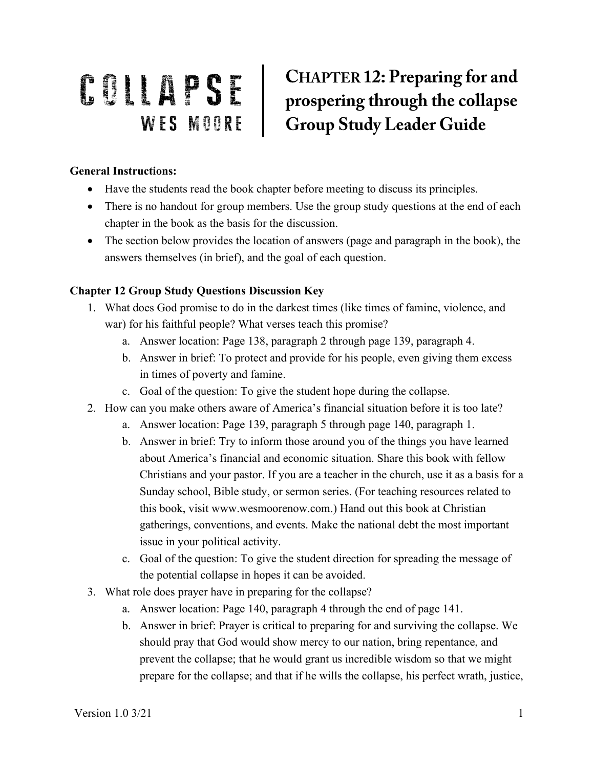## **CHAPTER 12: Preparing for and COLLAPSE** CHAPTER 12: Preparing for and<br>WES MOORE Group Study Leader Guide

## **General Instructions:**

- Have the students read the book chapter before meeting to discuss its principles.
- There is no handout for group members. Use the group study questions at the end of each chapter in the book as the basis for the discussion.
- The section below provides the location of answers (page and paragraph in the book), the answers themselves (in brief), and the goal of each question.

## **Chapter 12 Group Study Questions Discussion Key**

- 1. What does God promise to do in the darkest times (like times of famine, violence, and war) for his faithful people? What verses teach this promise?
	- a. Answer location: Page 138, paragraph 2 through page 139, paragraph 4.
	- b. Answer in brief: To protect and provide for his people, even giving them excess in times of poverty and famine.
	- c. Goal of the question: To give the student hope during the collapse.
- 2. How can you make others aware of America's financial situation before it is too late?
	- a. Answer location: Page 139, paragraph 5 through page 140, paragraph 1.
	- b. Answer in brief: Try to inform those around you of the things you have learned about America's financial and economic situation. Share this book with fellow Christians and your pastor. If you are a teacher in the church, use it as a basis for a Sunday school, Bible study, or sermon series. (For teaching resources related to this book, visit www.wesmoorenow.com.) Hand out this book at Christian gatherings, conventions, and events. Make the national debt the most important issue in your political activity.
	- c. Goal of the question: To give the student direction for spreading the message of the potential collapse in hopes it can be avoided.
- 3. What role does prayer have in preparing for the collapse?
	- a. Answer location: Page 140, paragraph 4 through the end of page 141.
	- b. Answer in brief: Prayer is critical to preparing for and surviving the collapse. We should pray that God would show mercy to our nation, bring repentance, and prevent the collapse; that he would grant us incredible wisdom so that we might prepare for the collapse; and that if he wills the collapse, his perfect wrath, justice,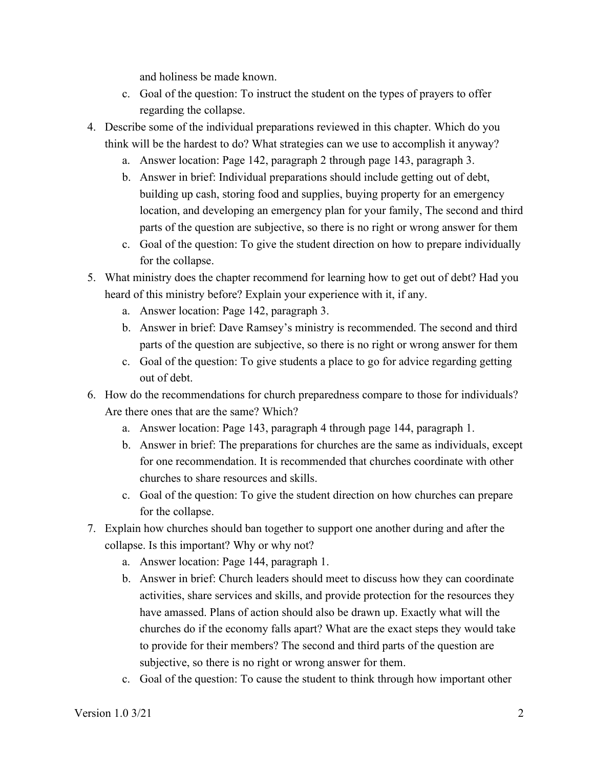and holiness be made known.

- c. Goal of the question: To instruct the student on the types of prayers to offer regarding the collapse.
- 4. Describe some of the individual preparations reviewed in this chapter. Which do you think will be the hardest to do? What strategies can we use to accomplish it anyway?
	- a. Answer location: Page 142, paragraph 2 through page 143, paragraph 3.
	- b. Answer in brief: Individual preparations should include getting out of debt, building up cash, storing food and supplies, buying property for an emergency location, and developing an emergency plan for your family, The second and third parts of the question are subjective, so there is no right or wrong answer for them
	- c. Goal of the question: To give the student direction on how to prepare individually for the collapse.
- 5. What ministry does the chapter recommend for learning how to get out of debt? Had you heard of this ministry before? Explain your experience with it, if any.
	- a. Answer location: Page 142, paragraph 3.
	- b. Answer in brief: Dave Ramsey's ministry is recommended. The second and third parts of the question are subjective, so there is no right or wrong answer for them
	- c. Goal of the question: To give students a place to go for advice regarding getting out of debt.
- 6. How do the recommendations for church preparedness compare to those for individuals? Are there ones that are the same? Which?
	- a. Answer location: Page 143, paragraph 4 through page 144, paragraph 1.
	- b. Answer in brief: The preparations for churches are the same as individuals, except for one recommendation. It is recommended that churches coordinate with other churches to share resources and skills.
	- c. Goal of the question: To give the student direction on how churches can prepare for the collapse.
- 7. Explain how churches should ban together to support one another during and after the collapse. Is this important? Why or why not?
	- a. Answer location: Page 144, paragraph 1.
	- b. Answer in brief: Church leaders should meet to discuss how they can coordinate activities, share services and skills, and provide protection for the resources they have amassed. Plans of action should also be drawn up. Exactly what will the churches do if the economy falls apart? What are the exact steps they would take to provide for their members? The second and third parts of the question are subjective, so there is no right or wrong answer for them.
	- c. Goal of the question: To cause the student to think through how important other